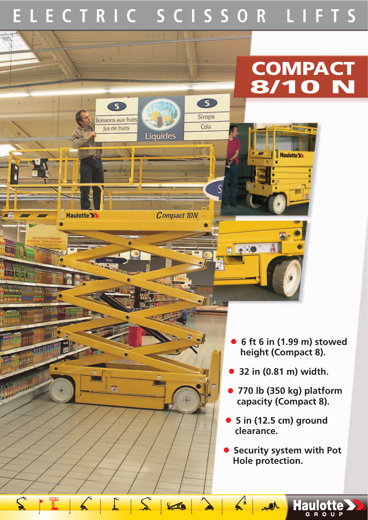## **ELECTRIC SCISSOR LIFTS**

 $\bullet$ 

Sirops

Cola

 $\mathcal{N}$ 

 $\frac{1}{2}$ 

 $\blacksquare$ 

### **COMPACT 8/10 N**

**Haulotte >>** 



**Compact 10N** 

 $5<sup>1</sup>$ 

E

 $z_{-}$ 

 $\sum_{i=1}^{n}$ 

Haulotte >

45

**Cit** 

**STEER AND THE** 

**PRELIMINARY INFORMATION**

• **6 ft 6 in (1.99 m) stowed height (Compact 8).**

• **32 in (0.81 m) width.**

• **770 lb (350 kg) platform capacity (Compact 8).**

• **5 in (12.5 cm) ground clearance.**

 $A_0$ 

• **Security system with Pot Hole protection.**

Haulotte >